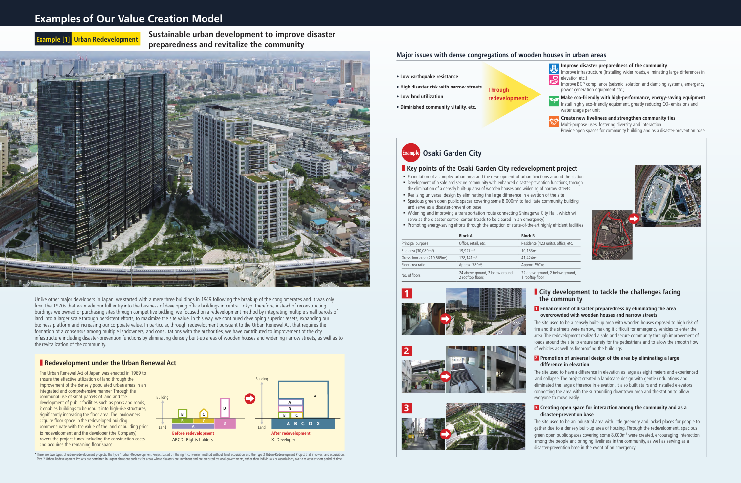Unlike other major developers in Japan, we started with a mere three buildings in 1949 following the breakup of the conglomerates and it was only from the 1970s that we made our full entry into the business of developing office buildings in central Tokyo. Therefore, instead of reconstructing buildings we owned or purchasing sites through competitive bidding, we focused on a redevelopment method by integrating multiple small parcels of land into a larger scale through persistent efforts, to maximize the site value. In this way, we continued developing superior assets, expanding our business platform and increasing our corporate value. In particular, through redevelopment pursuant to the Urban Renewal Act that requires the formation of a consensus among multiple landowners, and consultations with the authorities, we have contributed to improvement of the city infrastructure including disaster-prevention functions by eliminating densely built-up areas of wooden houses and widening narrow streets, as well as to the revitalization of the community.

#### ■ **Redevelopment under the Urban Renewal Act**

**Example 10 Example 5 Sustainable urban development to improve disaster preparedness and revitalize the community**



The Urban Renewal Act of Japan was enacted in 1969 to ensure the effective utilization of land through the improvement of the densely populated urban areas in an integrated and comprehensive manner. Through the communal use of small parcels of land and the development of public facilities such as parks and roads, it enables buildings to be rebuilt into high-rise structures, significantly increasing the floor area. The landowners acquire floor space in the redeveloped building commensurate with the value of the land or building prior to redevelopment and the developer (the Company) covers the project funds including the construction costs and acquires the remaining floor space.



\* There are two types of urban-redevelopment projects: The Type 1 Urban-Redevelopment Project based on the right conversion method without land acquisition and the Type 2 Urban-Redevelopment Project that involves land acqu Type 2 Urban-Redevelopment Projects are permitted in urgent situations such as for areas where disasters are imminent and are executed by local governments, rather than individuals or associations, over a relatively short

## **Examples of Our Value Creation Model**

|                                           | <b>Block A</b>                                        | <b>Block B</b>                     |
|-------------------------------------------|-------------------------------------------------------|------------------------------------|
| Principal purpose                         | Office, retail, etc.                                  | Residence (423 u                   |
| Site area (30,080m <sup>2</sup> )         | 19.927m <sup>2</sup>                                  | 10,153m <sup>2</sup>               |
| Gross floor area (219,565m <sup>2</sup> ) | 178,141m <sup>2</sup>                                 | 41.424m <sup>2</sup>               |
| Floor area ratio                          | Approx. 780%                                          | Approx. 250%                       |
| No. of floors                             | 24 above ground, 2 below ground,<br>2 rooftop floors, | 22 above ground<br>1 rooftop floor |



#### **1 Enhancement of disaster preparedness by eliminating the area overcrowded with wooden houses and narrow streets**

The site used to be a densely built-up area with wooden houses exposed to high risk of fire and the streets were narrow, making it difficult for emergency vehicles to enter the area. The redevelopment realized a safe and secure community through improvement of roads around the site to ensure safety for the pedestrians and to allow the smooth flow of vehicles as well as fireproofing the buildings.



#### ■ **Key points of the Osaki Garden City redevelopment project**

#### **2 Promotion of universal design of the area by eliminating a large difference in elevation**

- Formulation of a complex urban area and the development of urban functions around the station ■ Development of a safe and secure community with enhanced disaster-prevention functions, through
- the elimination of a densely built-up area of wooden houses and widening of narrow streets ■ Realizing universal design by eliminating the large difference in elevation of the site
- 
- Spacious green open public spaces covering some 8,000m<sup>2</sup> to facilitate community building and serve as a disaster-prevention base
- Widening and improving a transportation route connecting Shinagawa City Hall, which will serve as the disaster control center (roads to be cleared in an emergency)
- Promoting energy-saving efforts through the adoption of state-of-the-art highly efficient facilities

The site used to have a difference in elevation as large as eight meters and experienced land collapse. The project created a landscape design with gentle undulations and eliminated the large difference in elevation. It also built stairs and installed elevators connecting the area with the surrounding downtown area and the station to allow everyone to move easily.

#### **3 Creating open space for interaction among the community and as a disaster-prevention base**

The site used to be an industrial area with little greenery and lacked places for people to gather due to a densely built-up area of housing. Through the redevelopment, spacious green open public spaces covering some 8,000 $m<sup>2</sup>$  were created, encouraging interaction among the people and bringing liveliness in the community, as well as serving as a disaster-prevention base in the event of an emergency.

#### **Improve disaster preparedness of the community**

Improve aisasier preparedness of the community large differences in Improve infrastructure (Installing wider roads, eliminating large differences in elevation etc.)

Improve BCP compliance (seismic isolation and damping systems, emergency power generation equipment etc.)



**Make eco-friendly with high-performance, energy-saving equipment** Install highly eco-friendly equipment, greatly reducing  $CO<sub>2</sub>$  emissions and water usage per unit





anits), office, etc.





1, 2 below ground,

# **1** City development to tackle the challenges facing the community

### **Major issues with dense congregations of wooden houses in urban areas**

- **• Low earthquake resistance**
- **• High disaster risk with narrow streets**
- **• Low land utilization**
- **• Diminished community vitality, etc.**

**Through** 

**redevelopment:**